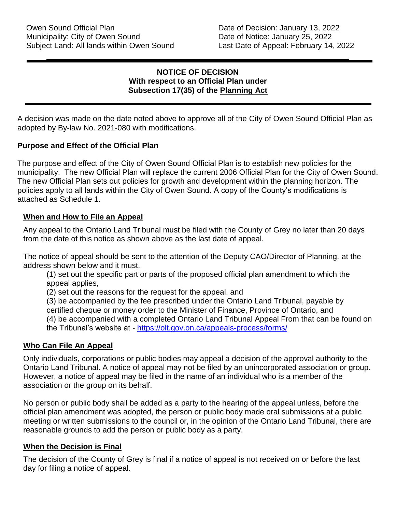#### **NOTICE OF DECISION With respect to an Official Plan under Subsection 17(35) of the Planning Act**

A decision was made on the date noted above to approve all of the City of Owen Sound Official Plan as adopted by By-law No. 2021-080 with modifications.

#### **Purpose and Effect of the Official Plan**

The purpose and effect of the City of Owen Sound Official Plan is to establish new policies for the municipality. The new Official Plan will replace the current 2006 Official Plan for the City of Owen Sound. The new Official Plan sets out policies for growth and development within the planning horizon. The policies apply to all lands within the City of Owen Sound. A copy of the County's modifications is attached as Schedule 1.

#### **When and How to File an Appeal**

Any appeal to the Ontario Land Tribunal must be filed with the County of Grey no later than 20 days from the date of this notice as shown above as the last date of appeal.

The notice of appeal should be sent to the attention of the Deputy CAO/Director of Planning, at the address shown below and it must,

(1) set out the specific part or parts of the proposed official plan amendment to which the appeal applies,

(2) set out the reasons for the request for the appeal, and

(3) be accompanied by the fee prescribed under the Ontario Land Tribunal, payable by

certified cheque or money order to the Minister of Finance, Province of Ontario, and

(4) be accompanied with a completed Ontario Land Tribunal Appeal From that can be found on

the Tribunal's website at - <https://olt.gov.on.ca/appeals-process/forms/>

#### **Who Can File An Appeal**

Only individuals, corporations or public bodies may appeal a decision of the approval authority to the Ontario Land Tribunal. A notice of appeal may not be filed by an unincorporated association or group. However, a notice of appeal may be filed in the name of an individual who is a member of the association or the group on its behalf.

No person or public body shall be added as a party to the hearing of the appeal unless, before the official plan amendment was adopted, the person or public body made oral submissions at a public meeting or written submissions to the council or, in the opinion of the Ontario Land Tribunal, there are reasonable grounds to add the person or public body as a party.

#### **When the Decision is Final**

The decision of the County of Grey is final if a notice of appeal is not received on or before the last day for filing a notice of appeal.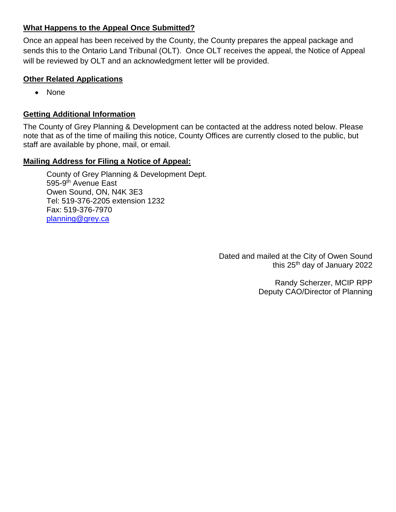#### **What Happens to the Appeal Once Submitted?**

Once an appeal has been received by the County, the County prepares the appeal package and sends this to the Ontario Land Tribunal (OLT). Once OLT receives the appeal, the Notice of Appeal will be reviewed by OLT and an acknowledgment letter will be provided.

#### **Other Related Applications**

• None

#### **Getting Additional Information**

The County of Grey Planning & Development can be contacted at the address noted below. Please note that as of the time of mailing this notice, County Offices are currently closed to the public, but staff are available by phone, mail, or email.

#### **Mailing Address for Filing a Notice of Appeal:**

County of Grey Planning & Development Dept. 595-9<sup>th</sup> Avenue East Owen Sound, ON, N4K 3E3 Tel: 519-376-2205 extension 1232 Fax: 519-376-7970 [planning@grey.ca](mailto:planning@grey.ca)

> Dated and mailed at the City of Owen Sound this 25th day of January 2022

> > Randy Scherzer, MCIP RPP Deputy CAO/Director of Planning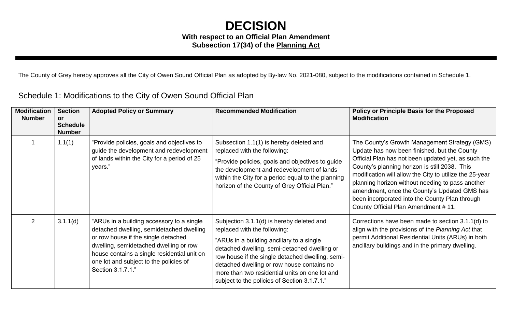### **DECISION With respect to an Official Plan Amendment Subsection 17(34) of the Planning Act**

The County of Grey hereby approves all the City of Owen Sound Official Plan as adopted by By-law No. 2021-080, subject to the modifications contained in Schedule 1.

Schedule 1: Modifications to the City of Owen Sound Official Plan

| <b>Modification</b><br><b>Number</b> | <b>Section</b><br><b>or</b><br><b>Schedule</b><br><b>Number</b> | <b>Adopted Policy or Summary</b>                                                                                                                                                                                                                                                    | <b>Recommended Modification</b>                                                                                                                                                                                                                                                                                                                                            | <b>Policy or Principle Basis for the Proposed</b><br><b>Modification</b>                                                                                                                                                                                                                                                                                                                                                                                      |
|--------------------------------------|-----------------------------------------------------------------|-------------------------------------------------------------------------------------------------------------------------------------------------------------------------------------------------------------------------------------------------------------------------------------|----------------------------------------------------------------------------------------------------------------------------------------------------------------------------------------------------------------------------------------------------------------------------------------------------------------------------------------------------------------------------|---------------------------------------------------------------------------------------------------------------------------------------------------------------------------------------------------------------------------------------------------------------------------------------------------------------------------------------------------------------------------------------------------------------------------------------------------------------|
|                                      | 1.1(1)                                                          | "Provide policies, goals and objectives to<br>guide the development and redevelopment<br>of lands within the City for a period of 25<br>years."                                                                                                                                     | Subsection 1.1(1) is hereby deleted and<br>replaced with the following:<br>"Provide policies, goals and objectives to guide<br>the development and redevelopment of lands<br>within the City for a period equal to the planning<br>horizon of the County of Grey Official Plan."                                                                                           | The County's Growth Management Strategy (GMS)<br>Update has now been finished, but the County<br>Official Plan has not been updated yet, as such the<br>County's planning horizon is still 2038. This<br>modification will allow the City to utilize the 25-year<br>planning horizon without needing to pass another<br>amendment, once the County's Updated GMS has<br>been incorporated into the County Plan through<br>County Official Plan Amendment #11. |
| $\overline{2}$                       | 3.1.1(d)                                                        | "ARUs in a building accessory to a single<br>detached dwelling, semidetached dwelling<br>or row house if the single detached<br>dwelling, semidetached dwelling or row<br>house contains a single residential unit on<br>one lot and subject to the policies of<br>Section 3.1.7.1" | Subjection 3.1.1(d) is hereby deleted and<br>replaced with the following:<br>"ARUs in a building ancillary to a single<br>detached dwelling, semi-detached dwelling or<br>row house if the single detached dwelling, semi-<br>detached dwelling or row house contains no<br>more than two residential units on one lot and<br>subject to the policies of Section 3.1.7.1." | Corrections have been made to section 3.1.1(d) to<br>align with the provisions of the Planning Act that<br>permit Additional Residential Units (ARUs) in both<br>ancillary buildings and in the primary dwelling.                                                                                                                                                                                                                                             |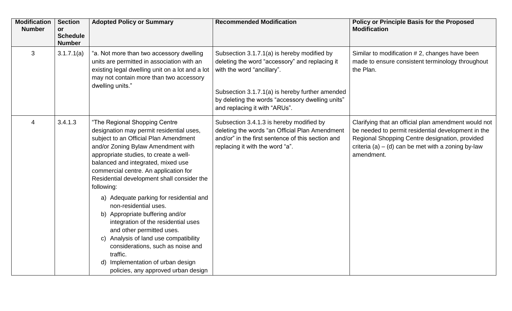| <b>Modification</b><br><b>Number</b> | <b>Section</b><br><b>or</b><br><b>Schedule</b><br><b>Number</b> | <b>Adopted Policy or Summary</b>                                                                                                                                                                                                                                                                                                                                                                                                                                                                                                                                                                                                                                                               | <b>Recommended Modification</b>                                                                                                                                                                                                                                     | <b>Policy or Principle Basis for the Proposed</b><br><b>Modification</b>                                                                                                                                                           |
|--------------------------------------|-----------------------------------------------------------------|------------------------------------------------------------------------------------------------------------------------------------------------------------------------------------------------------------------------------------------------------------------------------------------------------------------------------------------------------------------------------------------------------------------------------------------------------------------------------------------------------------------------------------------------------------------------------------------------------------------------------------------------------------------------------------------------|---------------------------------------------------------------------------------------------------------------------------------------------------------------------------------------------------------------------------------------------------------------------|------------------------------------------------------------------------------------------------------------------------------------------------------------------------------------------------------------------------------------|
| 3                                    | 3.1.7.1(a)                                                      | "a. Not more than two accessory dwelling<br>units are permitted in association with an<br>existing legal dwelling unit on a lot and a lot<br>may not contain more than two accessory<br>dwelling units."                                                                                                                                                                                                                                                                                                                                                                                                                                                                                       | Subsection 3.1.7.1(a) is hereby modified by<br>deleting the word "accessory" and replacing it<br>with the word "ancillary".<br>Subsection 3.1.7.1(a) is hereby further amended<br>by deleting the words "accessory dwelling units"<br>and replacing it with "ARUs". | Similar to modification #2, changes have been<br>made to ensure consistent terminology throughout<br>the Plan.                                                                                                                     |
| $\overline{4}$                       | 3.4.1.3                                                         | "The Regional Shopping Centre<br>designation may permit residential uses,<br>subject to an Official Plan Amendment<br>and/or Zoning Bylaw Amendment with<br>appropriate studies, to create a well-<br>balanced and integrated, mixed use<br>commercial centre. An application for<br>Residential development shall consider the<br>following:<br>a) Adequate parking for residential and<br>non-residential uses.<br>b) Appropriate buffering and/or<br>integration of the residential uses<br>and other permitted uses.<br>c) Analysis of land use compatibility<br>considerations, such as noise and<br>traffic.<br>d) Implementation of urban design<br>policies, any approved urban design | Subsection 3.4.1.3 is hereby modified by<br>deleting the words "an Official Plan Amendment<br>and/or" in the first sentence of this section and<br>replacing it with the word "a".                                                                                  | Clarifying that an official plan amendment would not<br>be needed to permit residential development in the<br>Regional Shopping Centre designation, provided<br>criteria (a) $-$ (d) can be met with a zoning by-law<br>amendment. |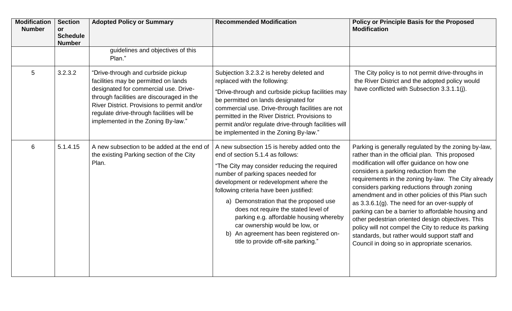| <b>Modification</b><br><b>Number</b> | <b>Section</b><br><b>or</b><br><b>Schedule</b><br><b>Number</b> | <b>Adopted Policy or Summary</b>                                                                                                                                                                                                                                                                   | <b>Recommended Modification</b>                                                                                                                                                                                                                                                                                                                                                                                                                                                                               | <b>Policy or Principle Basis for the Proposed</b><br><b>Modification</b>                                                                                                                                                                                                                                                                                                                                                                                                                                                                                                                                                                                                              |
|--------------------------------------|-----------------------------------------------------------------|----------------------------------------------------------------------------------------------------------------------------------------------------------------------------------------------------------------------------------------------------------------------------------------------------|---------------------------------------------------------------------------------------------------------------------------------------------------------------------------------------------------------------------------------------------------------------------------------------------------------------------------------------------------------------------------------------------------------------------------------------------------------------------------------------------------------------|---------------------------------------------------------------------------------------------------------------------------------------------------------------------------------------------------------------------------------------------------------------------------------------------------------------------------------------------------------------------------------------------------------------------------------------------------------------------------------------------------------------------------------------------------------------------------------------------------------------------------------------------------------------------------------------|
|                                      |                                                                 | guidelines and objectives of this<br>Plan."                                                                                                                                                                                                                                                        |                                                                                                                                                                                                                                                                                                                                                                                                                                                                                                               |                                                                                                                                                                                                                                                                                                                                                                                                                                                                                                                                                                                                                                                                                       |
| 5                                    | 3.2.3.2                                                         | "Drive-through and curbside pickup<br>facilities may be permitted on lands<br>designated for commercial use. Drive-<br>through facilities are discouraged in the<br>River District. Provisions to permit and/or<br>regulate drive-through facilities will be<br>implemented in the Zoning By-law." | Subjection 3.2.3.2 is hereby deleted and<br>replaced with the following:<br>"Drive-through and curbside pickup facilities may<br>be permitted on lands designated for<br>commercial use. Drive-through facilities are not<br>permitted in the River District. Provisions to<br>permit and/or regulate drive-through facilities will<br>be implemented in the Zoning By-law."                                                                                                                                  | The City policy is to not permit drive-throughs in<br>the River District and the adopted policy would<br>have conflicted with Subsection 3.3.1.1(j).                                                                                                                                                                                                                                                                                                                                                                                                                                                                                                                                  |
| 6                                    | 5.1.4.15                                                        | A new subsection to be added at the end of<br>the existing Parking section of the City<br>Plan.                                                                                                                                                                                                    | A new subsection 15 is hereby added onto the<br>end of section 5.1.4 as follows:<br>"The City may consider reducing the required<br>number of parking spaces needed for<br>development or redevelopment where the<br>following criteria have been justified:<br>a) Demonstration that the proposed use<br>does not require the stated level of<br>parking e.g. affordable housing whereby<br>car ownership would be low, or<br>b) An agreement has been registered on-<br>title to provide off-site parking." | Parking is generally regulated by the zoning by-law,<br>rather than in the official plan. This proposed<br>modification will offer guidance on how one<br>considers a parking reduction from the<br>requirements in the zoning by-law. The City already<br>considers parking reductions through zoning<br>amendment and in other policies of this Plan such<br>as $3.3.6.1(g)$ . The need for an over-supply of<br>parking can be a barrier to affordable housing and<br>other pedestrian oriented design objectives. This<br>policy will not compel the City to reduce its parking<br>standards, but rather would support staff and<br>Council in doing so in appropriate scenarios. |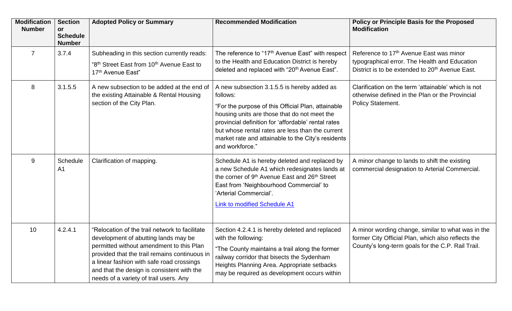| <b>Modification</b><br><b>Number</b> | <b>Section</b><br><b>or</b><br><b>Schedule</b><br><b>Number</b> | <b>Adopted Policy or Summary</b>                                                                                                                                                                                                                                                                                         | <b>Recommended Modification</b>                                                                                                                                                                                                                                                                                                                   | <b>Policy or Principle Basis for the Proposed</b><br><b>Modification</b>                                                                                            |
|--------------------------------------|-----------------------------------------------------------------|--------------------------------------------------------------------------------------------------------------------------------------------------------------------------------------------------------------------------------------------------------------------------------------------------------------------------|---------------------------------------------------------------------------------------------------------------------------------------------------------------------------------------------------------------------------------------------------------------------------------------------------------------------------------------------------|---------------------------------------------------------------------------------------------------------------------------------------------------------------------|
| $\overline{7}$                       | 3.7.4                                                           | Subheading in this section currently reads:<br>"8 <sup>th</sup> Street East from 10 <sup>th</sup> Avenue East to<br>17 <sup>th</sup> Avenue East"                                                                                                                                                                        | The reference to "17 <sup>th</sup> Avenue East" with respect<br>to the Health and Education District is hereby<br>deleted and replaced with "20 <sup>th</sup> Avenue East".                                                                                                                                                                       | Reference to 17 <sup>th</sup> Avenue East was minor<br>typographical error. The Health and Education<br>District is to be extended to 20 <sup>th</sup> Avenue East. |
| 8                                    | 3.1.5.5                                                         | A new subsection to be added at the end of<br>the existing Attainable & Rental Housing<br>section of the City Plan.                                                                                                                                                                                                      | A new subsection 3.1.5.5 is hereby added as<br>follows:<br>"For the purpose of this Official Plan, attainable<br>housing units are those that do not meet the<br>provincial definition for 'affordable' rental rates<br>but whose rental rates are less than the current<br>market rate and attainable to the City's residents<br>and workforce." | Clarification on the term 'attainable' which is not<br>otherwise defined in the Plan or the Provincial<br>Policy Statement.                                         |
| 9                                    | Schedule<br>A <sub>1</sub>                                      | Clarification of mapping.                                                                                                                                                                                                                                                                                                | Schedule A1 is hereby deleted and replaced by<br>a new Schedule A1 which redesignates lands at<br>the corner of 9 <sup>th</sup> Avenue East and 26 <sup>th</sup> Street<br>East from 'Neighbourhood Commercial' to<br>'Arterial Commercial'.<br><b>Link to modified Schedule A1</b>                                                               | A minor change to lands to shift the existing<br>commercial designation to Arterial Commercial.                                                                     |
| 10                                   | 4.2.4.1                                                         | "Relocation of the trail network to facilitate<br>development of abutting lands may be<br>permitted without amendment to this Plan<br>provided that the trail remains continuous in<br>a linear fashion with safe road crossings<br>and that the design is consistent with the<br>needs of a variety of trail users. Any | Section 4.2.4.1 is hereby deleted and replaced<br>with the following:<br>"The County maintains a trail along the former<br>railway corridor that bisects the Sydenham<br>Heights Planning Area. Appropriate setbacks<br>may be required as development occurs within                                                                              | A minor wording change, similar to what was in the<br>former City Official Plan, which also reflects the<br>County's long-term goals for the C.P. Rail Trail.       |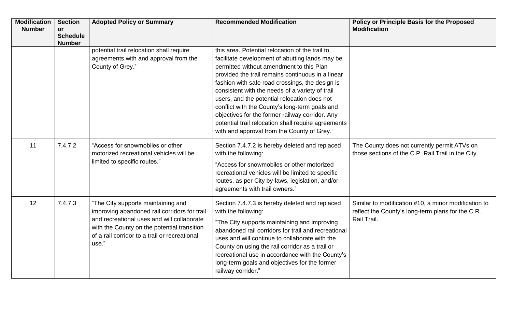| <b>Modification</b><br><b>Number</b> | <b>Section</b><br>or<br><b>Schedule</b><br><b>Number</b> | <b>Adopted Policy or Summary</b>                                                                                                                                                                                                          | <b>Recommended Modification</b>                                                                                                                                                                                                                                                                                                                                                                                                                                                                                                                                      | <b>Policy or Principle Basis for the Proposed</b><br><b>Modification</b>                                                 |
|--------------------------------------|----------------------------------------------------------|-------------------------------------------------------------------------------------------------------------------------------------------------------------------------------------------------------------------------------------------|----------------------------------------------------------------------------------------------------------------------------------------------------------------------------------------------------------------------------------------------------------------------------------------------------------------------------------------------------------------------------------------------------------------------------------------------------------------------------------------------------------------------------------------------------------------------|--------------------------------------------------------------------------------------------------------------------------|
|                                      |                                                          | potential trail relocation shall require<br>agreements with and approval from the<br>County of Grey."                                                                                                                                     | this area. Potential relocation of the trail to<br>facilitate development of abutting lands may be<br>permitted without amendment to this Plan<br>provided the trail remains continuous in a linear<br>fashion with safe road crossings, the design is<br>consistent with the needs of a variety of trail<br>users, and the potential relocation does not<br>conflict with the County's long-term goals and<br>objectives for the former railway corridor. Any<br>potential trail relocation shall require agreements<br>with and approval from the County of Grey." |                                                                                                                          |
| 11                                   | 7.4.7.2                                                  | "Access for snowmobiles or other<br>motorized recreational vehicles will be<br>limited to specific routes."                                                                                                                               | Section 7.4.7.2 is hereby deleted and replaced<br>with the following:<br>"Access for snowmobiles or other motorized<br>recreational vehicles will be limited to specific<br>routes, as per City by-laws, legislation, and/or<br>agreements with trail owners."                                                                                                                                                                                                                                                                                                       | The County does not currently permit ATVs on<br>those sections of the C.P. Rail Trail in the City.                       |
| 12                                   | 7.4.7.3                                                  | "The City supports maintaining and<br>improving abandoned rail corridors for trail<br>and recreational uses and will collaborate<br>with the County on the potential transition<br>of a rail corridor to a trail or recreational<br>use." | Section 7.4.7.3 is hereby deleted and replaced<br>with the following:<br>"The City supports maintaining and improving<br>abandoned rail corridors for trail and recreational<br>uses and will continue to collaborate with the<br>County on using the rail corridor as a trail or<br>recreational use in accordance with the County's<br>long-term goals and objectives for the former<br>railway corridor."                                                                                                                                                         | Similar to modification #10, a minor modification to<br>reflect the County's long-term plans for the C.R.<br>Rail Trail. |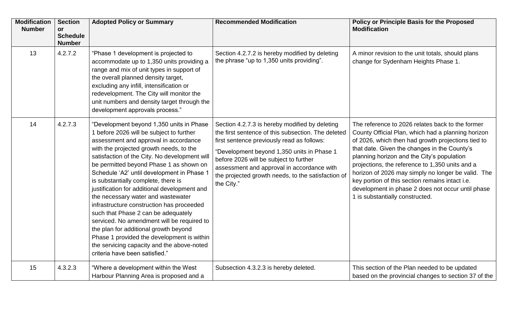| <b>Modification</b><br><b>Number</b> | <b>Section</b><br><b>or</b><br><b>Schedule</b><br><b>Number</b> | <b>Adopted Policy or Summary</b>                                                                                                                                                                                                                                                                                                                                                                                                                                                                                                                                                                                                                                                                                                                         | <b>Recommended Modification</b>                                                                                                                                                                                                                                                                                                                              | <b>Policy or Principle Basis for the Proposed</b><br><b>Modification</b>                                                                                                                                                                                                                                                                                                                                                                                                                                       |
|--------------------------------------|-----------------------------------------------------------------|----------------------------------------------------------------------------------------------------------------------------------------------------------------------------------------------------------------------------------------------------------------------------------------------------------------------------------------------------------------------------------------------------------------------------------------------------------------------------------------------------------------------------------------------------------------------------------------------------------------------------------------------------------------------------------------------------------------------------------------------------------|--------------------------------------------------------------------------------------------------------------------------------------------------------------------------------------------------------------------------------------------------------------------------------------------------------------------------------------------------------------|----------------------------------------------------------------------------------------------------------------------------------------------------------------------------------------------------------------------------------------------------------------------------------------------------------------------------------------------------------------------------------------------------------------------------------------------------------------------------------------------------------------|
| 13                                   | 4.2.7.2                                                         | "Phase 1 development is projected to<br>accommodate up to 1,350 units providing a<br>range and mix of unit types in support of<br>the overall planned density target,<br>excluding any infill, intensification or<br>redevelopment. The City will monitor the<br>unit numbers and density target through the<br>development approvals process."                                                                                                                                                                                                                                                                                                                                                                                                          | Section 4.2.7.2 is hereby modified by deleting<br>the phrase "up to 1,350 units providing".                                                                                                                                                                                                                                                                  | A minor revision to the unit totals, should plans<br>change for Sydenham Heights Phase 1.                                                                                                                                                                                                                                                                                                                                                                                                                      |
| 14                                   | 4.2.7.3                                                         | "Development beyond 1,350 units in Phase<br>1 before 2026 will be subject to further<br>assessment and approval in accordance<br>with the projected growth needs, to the<br>satisfaction of the City. No development will<br>be permitted beyond Phase 1 as shown on<br>Schedule 'A2' until development in Phase 1<br>is substantially complete, there is<br>justification for additional development and<br>the necessary water and wastewater<br>infrastructure construction has proceeded<br>such that Phase 2 can be adequately<br>serviced. No amendment will be required to<br>the plan for additional growth beyond<br>Phase 1 provided the development is within<br>the servicing capacity and the above-noted<br>criteria have been satisfied." | Section 4.2.7.3 is hereby modified by deleting<br>the first sentence of this subsection. The deleted<br>first sentence previously read as follows:<br>"Development beyond 1,350 units in Phase 1<br>before 2026 will be subject to further<br>assessment and approval in accordance with<br>the projected growth needs, to the satisfaction of<br>the City." | The reference to 2026 relates back to the former<br>County Official Plan, which had a planning horizon<br>of 2026, which then had growth projections tied to<br>that date. Given the changes in the County's<br>planning horizon and the City's population<br>projections, the reference to 1,350 units and a<br>horizon of 2026 may simply no longer be valid. The<br>key portion of this section remains intact i.e.<br>development in phase 2 does not occur until phase<br>1 is substantially constructed. |
| 15                                   | 4.3.2.3                                                         | "Where a development within the West<br>Harbour Planning Area is proposed and a                                                                                                                                                                                                                                                                                                                                                                                                                                                                                                                                                                                                                                                                          | Subsection 4.3.2.3 is hereby deleted.                                                                                                                                                                                                                                                                                                                        | This section of the Plan needed to be updated<br>based on the provincial changes to section 37 of the                                                                                                                                                                                                                                                                                                                                                                                                          |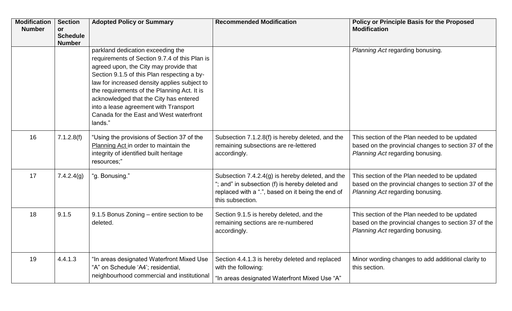| <b>Modification</b><br><b>Number</b> | <b>Section</b><br>or<br><b>Schedule</b><br><b>Number</b> | <b>Adopted Policy or Summary</b>                                                                                                                                                                                                                                                                                                                                                                                    | <b>Recommended Modification</b>                                                                                                                                              | <b>Policy or Principle Basis for the Proposed</b><br><b>Modification</b>                                                                  |
|--------------------------------------|----------------------------------------------------------|---------------------------------------------------------------------------------------------------------------------------------------------------------------------------------------------------------------------------------------------------------------------------------------------------------------------------------------------------------------------------------------------------------------------|------------------------------------------------------------------------------------------------------------------------------------------------------------------------------|-------------------------------------------------------------------------------------------------------------------------------------------|
|                                      |                                                          | parkland dedication exceeding the<br>requirements of Section 9.7.4 of this Plan is<br>agreed upon, the City may provide that<br>Section 9.1.5 of this Plan respecting a by-<br>law for increased density applies subject to<br>the requirements of the Planning Act. It is<br>acknowledged that the City has entered<br>into a lease agreement with Transport<br>Canada for the East and West waterfront<br>lands." |                                                                                                                                                                              | Planning Act regarding bonusing.                                                                                                          |
| 16                                   | 7.1.2.8(f)                                               | "Using the provisions of Section 37 of the<br>Planning Act in order to maintain the<br>integrity of identified built heritage<br>resources;"                                                                                                                                                                                                                                                                        | Subsection 7.1.2.8(f) is hereby deleted, and the<br>remaining subsections are re-lettered<br>accordingly.                                                                    | This section of the Plan needed to be updated<br>based on the provincial changes to section 37 of the<br>Planning Act regarding bonusing. |
| 17                                   | 7.4.2.4(g)                                               | "g. Bonusing."                                                                                                                                                                                                                                                                                                                                                                                                      | Subsection 7.4.2.4(g) is hereby deleted, and the<br>"; and" in subsection (f) is hereby deleted and<br>replaced with a ".", based on it being the end of<br>this subsection. | This section of the Plan needed to be updated<br>based on the provincial changes to section 37 of the<br>Planning Act regarding bonusing. |
| 18                                   | 9.1.5                                                    | 9.1.5 Bonus Zoning – entire section to be<br>deleted.                                                                                                                                                                                                                                                                                                                                                               | Section 9.1.5 is hereby deleted, and the<br>remaining sections are re-numbered<br>accordingly.                                                                               | This section of the Plan needed to be updated<br>based on the provincial changes to section 37 of the<br>Planning Act regarding bonusing. |
| 19                                   | 4.4.1.3                                                  | "In areas designated Waterfront Mixed Use<br>"A" on Schedule 'A4'; residential,<br>neighbourhood commercial and institutional                                                                                                                                                                                                                                                                                       | Section 4.4.1.3 is hereby deleted and replaced<br>with the following:<br>"In areas designated Waterfront Mixed Use "A"                                                       | Minor wording changes to add additional clarity to<br>this section.                                                                       |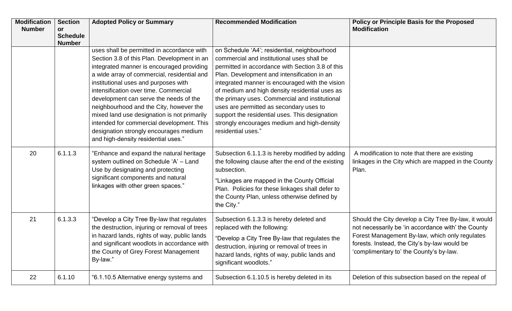| <b>Modification</b><br><b>Number</b> | <b>Section</b><br>or<br><b>Schedule</b> | <b>Adopted Policy or Summary</b>                                                                                                                                                                                                                                                                                                                                                                                                                                                                                                         | <b>Recommended Modification</b>                                                                                                                                                                                                                                                                                                                                                                                                                                                                                        | <b>Policy or Principle Basis for the Proposed</b><br><b>Modification</b>                                                                                                                                                                                |
|--------------------------------------|-----------------------------------------|------------------------------------------------------------------------------------------------------------------------------------------------------------------------------------------------------------------------------------------------------------------------------------------------------------------------------------------------------------------------------------------------------------------------------------------------------------------------------------------------------------------------------------------|------------------------------------------------------------------------------------------------------------------------------------------------------------------------------------------------------------------------------------------------------------------------------------------------------------------------------------------------------------------------------------------------------------------------------------------------------------------------------------------------------------------------|---------------------------------------------------------------------------------------------------------------------------------------------------------------------------------------------------------------------------------------------------------|
|                                      | <b>Number</b>                           | uses shall be permitted in accordance with<br>Section 3.8 of this Plan. Development in an<br>integrated manner is encouraged providing<br>a wide array of commercial, residential and<br>institutional uses and purposes with<br>intensification over time. Commercial<br>development can serve the needs of the<br>neighbourhood and the City, however the<br>mixed land use designation is not primarily<br>intended for commercial development. This<br>designation strongly encourages medium<br>and high-density residential uses." | on Schedule 'A4'; residential, neighbourhood<br>commercial and institutional uses shall be<br>permitted in accordance with Section 3.8 of this<br>Plan. Development and intensification in an<br>integrated manner is encouraged with the vision<br>of medium and high density residential uses as<br>the primary uses. Commercial and institutional<br>uses are permitted as secondary uses to<br>support the residential uses. This designation<br>strongly encourages medium and high-density<br>residential uses." |                                                                                                                                                                                                                                                         |
| 20                                   | 6.1.1.3                                 | "Enhance and expand the natural heritage<br>system outlined on Schedule 'A' - Land<br>Use by designating and protecting<br>significant components and natural<br>linkages with other green spaces."                                                                                                                                                                                                                                                                                                                                      | Subsection 6.1.1.3 is hereby modified by adding<br>the following clause after the end of the existing<br>subsection.<br>"Linkages are mapped in the County Official<br>Plan. Policies for these linkages shall defer to<br>the County Plan, unless otherwise defined by<br>the City."                                                                                                                                                                                                                                  | A modification to note that there are existing<br>linkages in the City which are mapped in the County<br>Plan.                                                                                                                                          |
| 21                                   | 6.1.3.3                                 | "Develop a City Tree By-law that regulates<br>the destruction, injuring or removal of trees<br>in hazard lands, rights of way, public lands<br>and significant woodlots in accordance with<br>the County of Grey Forest Management<br>By-law."                                                                                                                                                                                                                                                                                           | Subsection 6.1.3.3 is hereby deleted and<br>replaced with the following:<br>"Develop a City Tree By-law that regulates the<br>destruction, injuring or removal of trees in<br>hazard lands, rights of way, public lands and<br>significant woodlots."                                                                                                                                                                                                                                                                  | Should the City develop a City Tree By-law, it would<br>not necessarily be 'in accordance with' the County<br>Forest Management By-law, which only regulates<br>forests. Instead, the City's by-law would be<br>'complimentary to' the County's by-law. |
| 22                                   | 6.1.10                                  | "6.1.10.5 Alternative energy systems and                                                                                                                                                                                                                                                                                                                                                                                                                                                                                                 | Subsection 6.1.10.5 is hereby deleted in its                                                                                                                                                                                                                                                                                                                                                                                                                                                                           | Deletion of this subsection based on the repeal of                                                                                                                                                                                                      |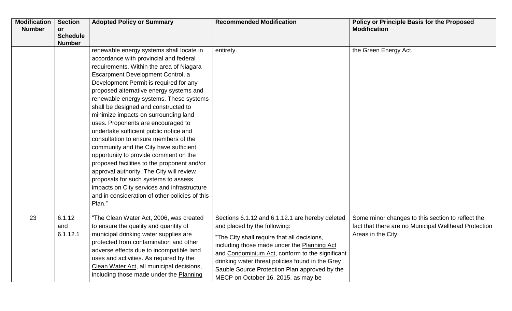| <b>Modification</b><br><b>Number</b> | <b>Section</b><br>or<br><b>Schedule</b><br><b>Number</b> | <b>Adopted Policy or Summary</b>                                                                                                                                                                                                                                                                                                                                                                                                                                                                                                                                                                                                                                                                                                                                                                                                              | <b>Recommended Modification</b>                                                                                                                                                                                                                                                                                                                                              | <b>Policy or Principle Basis for the Proposed</b><br><b>Modification</b>                                                        |
|--------------------------------------|----------------------------------------------------------|-----------------------------------------------------------------------------------------------------------------------------------------------------------------------------------------------------------------------------------------------------------------------------------------------------------------------------------------------------------------------------------------------------------------------------------------------------------------------------------------------------------------------------------------------------------------------------------------------------------------------------------------------------------------------------------------------------------------------------------------------------------------------------------------------------------------------------------------------|------------------------------------------------------------------------------------------------------------------------------------------------------------------------------------------------------------------------------------------------------------------------------------------------------------------------------------------------------------------------------|---------------------------------------------------------------------------------------------------------------------------------|
|                                      |                                                          | renewable energy systems shall locate in<br>accordance with provincial and federal<br>requirements. Within the area of Niagara<br>Escarpment Development Control, a<br>Development Permit is required for any<br>proposed alternative energy systems and<br>renewable energy systems. These systems<br>shall be designed and constructed to<br>minimize impacts on surrounding land<br>uses. Proponents are encouraged to<br>undertake sufficient public notice and<br>consultation to ensure members of the<br>community and the City have sufficient<br>opportunity to provide comment on the<br>proposed facilities to the proponent and/or<br>approval authority. The City will review<br>proposals for such systems to assess<br>impacts on City services and infrastructure<br>and in consideration of other policies of this<br>Plan." | entirety.                                                                                                                                                                                                                                                                                                                                                                    | the Green Energy Act.                                                                                                           |
| 23                                   | 6.1.12<br>and<br>6.1.12.1                                | "The Clean Water Act, 2006, was created<br>to ensure the quality and quantity of<br>municipal drinking water supplies are<br>protected from contamination and other<br>adverse effects due to incompatible land<br>uses and activities. As required by the<br>Clean Water Act, all municipal decisions,<br>including those made under the Planning                                                                                                                                                                                                                                                                                                                                                                                                                                                                                            | Sections 6.1.12 and 6.1.12.1 are hereby deleted<br>and placed by the following:<br>"The City shall require that all decisions,<br>including those made under the Planning Act<br>and Condominium Act, conform to the significant<br>drinking water threat policies found in the Grey<br>Sauble Source Protection Plan approved by the<br>MECP on October 16, 2015, as may be | Some minor changes to this section to reflect the<br>fact that there are no Municipal Wellhead Protection<br>Areas in the City. |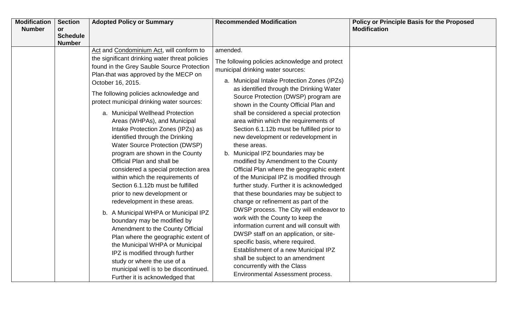| <b>Modification</b> | <b>Section</b>        | <b>Adopted Policy or Summary</b>               | <b>Recommended Modification</b>                                                  | <b>Policy or Principle Basis for the Proposed</b> |
|---------------------|-----------------------|------------------------------------------------|----------------------------------------------------------------------------------|---------------------------------------------------|
| <b>Number</b>       | or<br><b>Schedule</b> |                                                |                                                                                  | <b>Modification</b>                               |
|                     | <b>Number</b>         |                                                |                                                                                  |                                                   |
|                     |                       | Act and Condominium Act, will conform to       | amended.                                                                         |                                                   |
|                     |                       | the significant drinking water threat policies | The following policies acknowledge and protect                                   |                                                   |
|                     |                       | found in the Grey Sauble Source Protection     | municipal drinking water sources:                                                |                                                   |
|                     |                       | Plan-that was approved by the MECP on          |                                                                                  |                                                   |
|                     |                       | October 16, 2015.                              | a. Municipal Intake Protection Zones (IPZs)                                      |                                                   |
|                     |                       | The following policies acknowledge and         | as identified through the Drinking Water<br>Source Protection (DWSP) program are |                                                   |
|                     |                       | protect municipal drinking water sources:      | shown in the County Official Plan and                                            |                                                   |
|                     |                       | a. Municipal Wellhead Protection               | shall be considered a special protection                                         |                                                   |
|                     |                       | Areas (WHPAs), and Municipal                   | area within which the requirements of                                            |                                                   |
|                     |                       | Intake Protection Zones (IPZs) as              | Section 6.1.12b must be fulfilled prior to                                       |                                                   |
|                     |                       | identified through the Drinking                | new development or redevelopment in                                              |                                                   |
|                     |                       | Water Source Protection (DWSP)                 | these areas.                                                                     |                                                   |
|                     |                       | program are shown in the County                | b. Municipal IPZ boundaries may be                                               |                                                   |
|                     |                       | Official Plan and shall be                     | modified by Amendment to the County                                              |                                                   |
|                     |                       | considered a special protection area           | Official Plan where the geographic extent                                        |                                                   |
|                     |                       | within which the requirements of               | of the Municipal IPZ is modified through                                         |                                                   |
|                     |                       | Section 6.1.12b must be fulfilled              | further study. Further it is acknowledged                                        |                                                   |
|                     |                       | prior to new development or                    | that these boundaries may be subject to                                          |                                                   |
|                     |                       | redevelopment in these areas.                  | change or refinement as part of the                                              |                                                   |
|                     |                       | b. A Municipal WHPA or Municipal IPZ           | DWSP process. The City will endeavor to                                          |                                                   |
|                     |                       | boundary may be modified by                    | work with the County to keep the<br>information current and will consult with    |                                                   |
|                     |                       | Amendment to the County Official               | DWSP staff on an application, or site-                                           |                                                   |
|                     |                       | Plan where the geographic extent of            | specific basis, where required.                                                  |                                                   |
|                     |                       | the Municipal WHPA or Municipal                | Establishment of a new Municipal IPZ                                             |                                                   |
|                     |                       | IPZ is modified through further                | shall be subject to an amendment                                                 |                                                   |
|                     |                       | study or where the use of a                    | concurrently with the Class                                                      |                                                   |
|                     |                       | municipal well is to be discontinued.          | Environmental Assessment process.                                                |                                                   |
|                     |                       | Further it is acknowledged that                |                                                                                  |                                                   |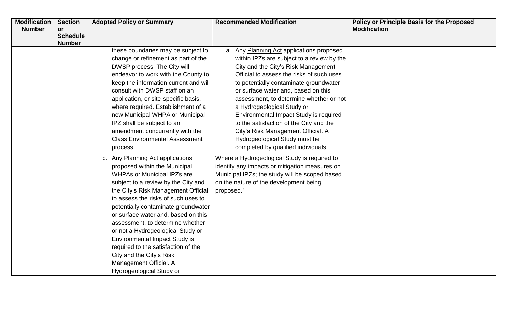| <b>Modification</b> | <b>Section</b>        | <b>Adopted Policy or Summary</b>      | <b>Recommended Modification</b>                | <b>Policy or Principle Basis for the Proposed</b> |
|---------------------|-----------------------|---------------------------------------|------------------------------------------------|---------------------------------------------------|
| <b>Number</b>       | or<br><b>Schedule</b> |                                       |                                                | <b>Modification</b>                               |
|                     | <b>Number</b>         |                                       |                                                |                                                   |
|                     |                       | these boundaries may be subject to    | a. Any Planning Act applications proposed      |                                                   |
|                     |                       | change or refinement as part of the   | within IPZs are subject to a review by the     |                                                   |
|                     |                       | DWSP process. The City will           | City and the City's Risk Management            |                                                   |
|                     |                       | endeavor to work with the County to   | Official to assess the risks of such uses      |                                                   |
|                     |                       | keep the information current and will | to potentially contaminate groundwater         |                                                   |
|                     |                       | consult with DWSP staff on an         | or surface water and, based on this            |                                                   |
|                     |                       | application, or site-specific basis,  | assessment, to determine whether or not        |                                                   |
|                     |                       | where required. Establishment of a    | a Hydrogeological Study or                     |                                                   |
|                     |                       | new Municipal WHPA or Municipal       | Environmental Impact Study is required         |                                                   |
|                     |                       | IPZ shall be subject to an            | to the satisfaction of the City and the        |                                                   |
|                     |                       | amendment concurrently with the       | City's Risk Management Official. A             |                                                   |
|                     |                       | <b>Class Environmental Assessment</b> | Hydrogeological Study must be                  |                                                   |
|                     |                       | process.                              | completed by qualified individuals.            |                                                   |
|                     |                       | c. Any Planning Act applications      | Where a Hydrogeological Study is required to   |                                                   |
|                     |                       | proposed within the Municipal         | identify any impacts or mitigation measures on |                                                   |
|                     |                       | <b>WHPAs or Municipal IPZs are</b>    | Municipal IPZs; the study will be scoped based |                                                   |
|                     |                       | subject to a review by the City and   | on the nature of the development being         |                                                   |
|                     |                       | the City's Risk Management Official   | proposed."                                     |                                                   |
|                     |                       | to assess the risks of such uses to   |                                                |                                                   |
|                     |                       | potentially contaminate groundwater   |                                                |                                                   |
|                     |                       | or surface water and, based on this   |                                                |                                                   |
|                     |                       | assessment, to determine whether      |                                                |                                                   |
|                     |                       | or not a Hydrogeological Study or     |                                                |                                                   |
|                     |                       | <b>Environmental Impact Study is</b>  |                                                |                                                   |
|                     |                       | required to the satisfaction of the   |                                                |                                                   |
|                     |                       | City and the City's Risk              |                                                |                                                   |
|                     |                       | Management Official. A                |                                                |                                                   |
|                     |                       | Hydrogeological Study or              |                                                |                                                   |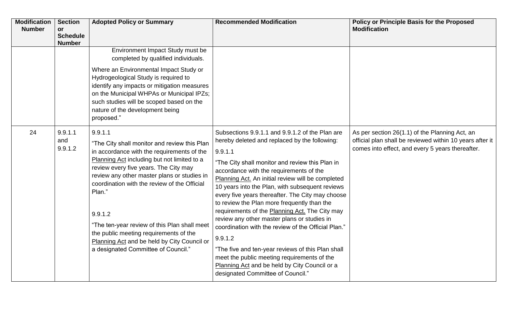| <b>Modification</b><br><b>Number</b> | <b>Section</b><br><b>or</b><br><b>Schedule</b><br><b>Number</b> | <b>Adopted Policy or Summary</b>                                                                                                                                                                                                                                                                                                                                                                                                                                                                  | <b>Recommended Modification</b>                                                                                                                                                                                                                                                                                                                                                                                                                                                                                                                                                                                                                                                                                                                                                   | <b>Policy or Principle Basis for the Proposed</b><br><b>Modification</b>                                                                                       |
|--------------------------------------|-----------------------------------------------------------------|---------------------------------------------------------------------------------------------------------------------------------------------------------------------------------------------------------------------------------------------------------------------------------------------------------------------------------------------------------------------------------------------------------------------------------------------------------------------------------------------------|-----------------------------------------------------------------------------------------------------------------------------------------------------------------------------------------------------------------------------------------------------------------------------------------------------------------------------------------------------------------------------------------------------------------------------------------------------------------------------------------------------------------------------------------------------------------------------------------------------------------------------------------------------------------------------------------------------------------------------------------------------------------------------------|----------------------------------------------------------------------------------------------------------------------------------------------------------------|
|                                      |                                                                 | Environment Impact Study must be<br>completed by qualified individuals.<br>Where an Environmental Impact Study or<br>Hydrogeological Study is required to<br>identify any impacts or mitigation measures<br>on the Municipal WHPAs or Municipal IPZs;<br>such studies will be scoped based on the<br>nature of the development being<br>proposed."                                                                                                                                                |                                                                                                                                                                                                                                                                                                                                                                                                                                                                                                                                                                                                                                                                                                                                                                                   |                                                                                                                                                                |
| 24                                   | 9.9.1.1<br>and<br>9.9.1.2                                       | 9.9.1.1<br>"The City shall monitor and review this Plan<br>in accordance with the requirements of the<br>Planning Act including but not limited to a<br>review every five years. The City may<br>review any other master plans or studies in<br>coordination with the review of the Official<br>Plan."<br>9.9.1.2<br>"The ten-year review of this Plan shall meet<br>the public meeting requirements of the<br>Planning Act and be held by City Council or<br>a designated Committee of Council." | Subsections 9.9.1.1 and 9.9.1.2 of the Plan are<br>hereby deleted and replaced by the following:<br>9.9.1.1<br>"The City shall monitor and review this Plan in<br>accordance with the requirements of the<br>Planning Act. An initial review will be completed<br>10 years into the Plan, with subsequent reviews<br>every five years thereafter. The City may choose<br>to review the Plan more frequently than the<br>requirements of the Planning Act. The City may<br>review any other master plans or studies in<br>coordination with the review of the Official Plan."<br>9.9.1.2<br>"The five and ten-year reviews of this Plan shall<br>meet the public meeting requirements of the<br>Planning Act and be held by City Council or a<br>designated Committee of Council." | As per section 26(1.1) of the Planning Act, an<br>official plan shall be reviewed within 10 years after it<br>comes into effect, and every 5 years thereafter. |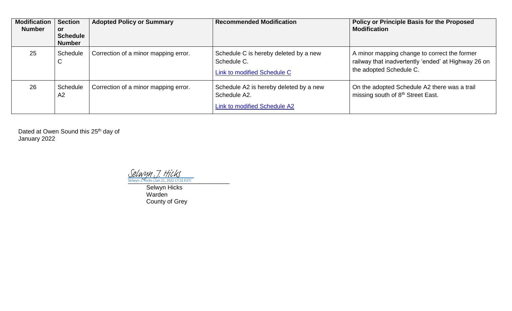| <b>Modification</b><br><b>Number</b> | <b>Section</b><br><b>or</b><br><b>Schedule</b><br><b>Number</b> | <b>Adopted Policy or Summary</b>     | <b>Recommended Modification</b>                                                               | <b>Policy or Principle Basis for the Proposed</b><br><b>Modification</b>                                                       |
|--------------------------------------|-----------------------------------------------------------------|--------------------------------------|-----------------------------------------------------------------------------------------------|--------------------------------------------------------------------------------------------------------------------------------|
| 25                                   | Schedule<br>U                                                   | Correction of a minor mapping error. | Schedule C is hereby deleted by a new<br>Schedule C.<br>Link to modified Schedule C           | A minor mapping change to correct the former<br>railway that inadvertently 'ended' at Highway 26 on<br>the adopted Schedule C. |
| 26                                   | Schedule<br>A <sub>2</sub>                                      | Correction of a minor mapping error. | Schedule A2 is hereby deleted by a new<br>Schedule A2.<br><b>Link to modified Schedule A2</b> | On the adopted Schedule A2 there was a trail<br>missing south of 8 <sup>th</sup> Street East.                                  |

Dated at Owen Sound this 25<sup>th</sup> day of January 2022

<u>[Selwyn J. Hicks](https://na4.documents.adobe.com/verifier?tx=CBJCHBCAABAAb-Lf8mDRwgQU_bepx4rPDZ9SriuzlIAK) (Jan 21, 2022 17:31 EST)</u>

Selwyn Hicks Warden County of Grey